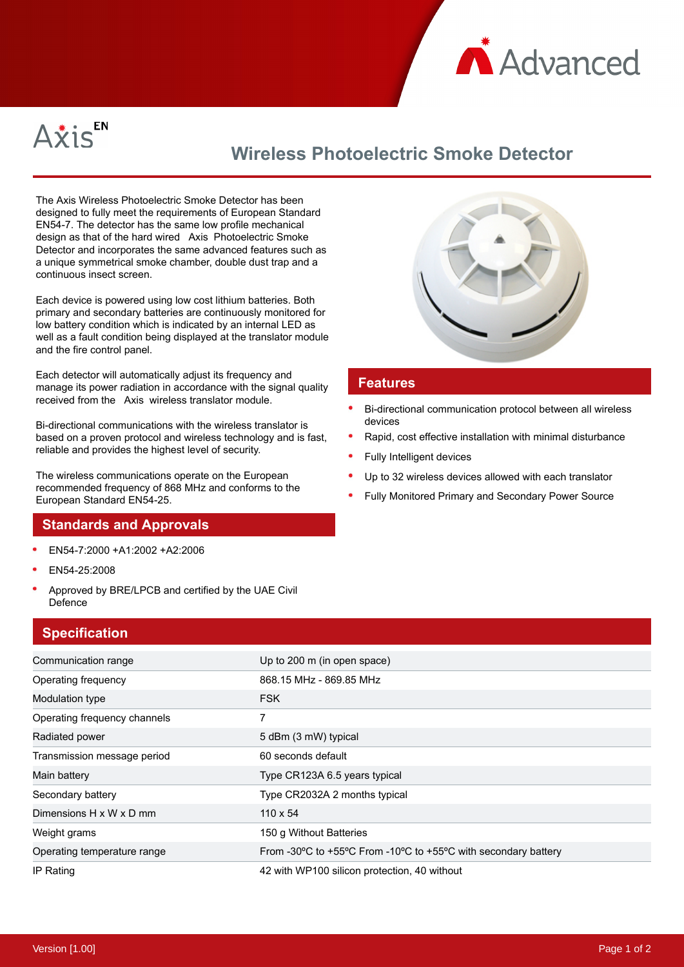



# **Wireless Photoelectric Smoke Detector**

The Axis Wireless Photoelectric Smoke Detector has been designed to fully meet the requirements of European Standard EN54-7. The detector has the same low profile mechanical design as that of the hard wired Axis Photoelectric Smoke Detector and incorporates the same advanced features such as a unique symmetrical smoke chamber, double dust trap and a continuous insect screen.

Each device is powered using low cost lithium batteries. Both primary and secondary batteries are continuously monitored for low battery condition which is indicated by an internal LED as well as a fault condition being displayed at the translator module and the fire control panel.

Each detector will automatically adjust its frequency and manage its power radiation in accordance with the signal quality received from the Axis wireless translator module.

Bi-directional communications with the wireless translator is based on a proven protocol and wireless technology and is fast, reliable and provides the highest level of security.

The wireless communications operate on the European recommended frequency of 868 MHz and conforms to the European Standard EN54-25.

#### **Standards and Approvals**

- EN54-7:2000 +A1:2002 +A2:2006
- EN54-25:2008
- Approved by BRE/LPCB and certified by the UAE Civil Defence

### **Specification**



#### **Features**

- Bi-directional communication protocol between all wireless devices
- Rapid, cost effective installation with minimal disturbance
- Fully Intelligent devices
- Up to 32 wireless devices allowed with each translator
- Fully Monitored Primary and Secondary Power Source

| $-$ <b>p</b> $-$ ----------- |                                                                |
|------------------------------|----------------------------------------------------------------|
| Communication range          | Up to 200 m (in open space)                                    |
| Operating frequency          | 868.15 MHz - 869.85 MHz                                        |
| Modulation type              | <b>FSK</b>                                                     |
| Operating frequency channels | 7                                                              |
| Radiated power               | 5 dBm (3 mW) typical                                           |
| Transmission message period  | 60 seconds default                                             |
| Main battery                 | Type CR123A 6.5 years typical                                  |
| Secondary battery            | Type CR2032A 2 months typical                                  |
| Dimensions H x W x D mm      | $110 \times 54$                                                |
| Weight grams                 | 150 g Without Batteries                                        |
| Operating temperature range  | From -30°C to +55°C From -10°C to +55°C with secondary battery |
| IP Rating                    | 42 with WP100 silicon protection, 40 without                   |